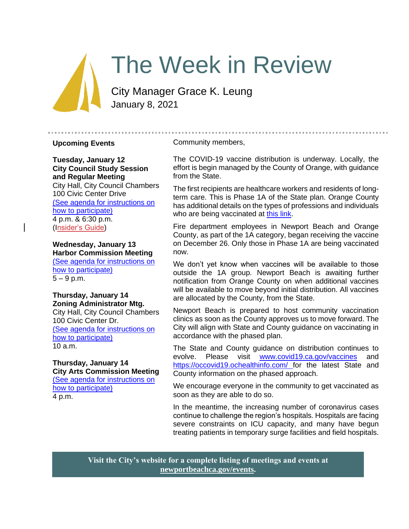# The Week in Review

City Manager Grace K. Leung January 8, 2021

#### **Upcoming Events**

**Tuesday, January 12 City Council Study Session and Regular Meeting** City Hall, City Council Chambers 100 Civic Center Drive [\(See agenda for instructions on](https://www.newportbeachca.gov/Home/Components/Calendar/Event/64234/72)  [how to participate\)](https://www.newportbeachca.gov/Home/Components/Calendar/Event/64234/72) 4 p.m. & 6:30 p.m. ([Insider's Guide\)](#page-4-0)

**Wednesday, January 13 Harbor Commission Meeting** [\(See agenda for instructions on](https://www.newportbeachca.gov/Home/Components/Calendar/Event/65865/72)  [how to participate\)](https://www.newportbeachca.gov/Home/Components/Calendar/Event/65865/72)  $5 - 9$  p.m.

**Thursday, January 14 Zoning Administrator Mtg.** City Hall, City Council Chambers 100 Civic Center Dr.

[\(See agenda for instructions on](https://www.newportbeachca.gov/government/departments/community-development/planning-division/zoning-administrator)  [how to participate\)](https://www.newportbeachca.gov/government/departments/community-development/planning-division/zoning-administrator) 10 a.m.

**Thursday, January 14 City Arts Commission Meeting** [\(See agenda for instructions on](https://www.newportbeachca.gov/Home/Components/Calendar/Event/65394/72)  [how to participate\)](https://www.newportbeachca.gov/Home/Components/Calendar/Event/65394/72) 4 p.m.

#### Community members,

The COVID-19 vaccine distribution is underway. Locally, the effort is begin managed by the County of Orange, with guidance from the State.

The first recipients are healthcare workers and residents of longterm care. This is Phase 1A of the State plan. Orange County has additional details on the types of professions and individuals who are being vaccinated at [this link.](https://coronavirus.egovoc.com/covid-19-vaccination-distribution)

Fire department employees in Newport Beach and Orange County, as part of the 1A category, began receiving the vaccine on December 26. Only those in Phase 1A are being vaccinated now.

We don't yet know when vaccines will be available to those outside the 1A group. Newport Beach is awaiting further notification from Orange County on when additional vaccines will be available to move beyond initial distribution. All vaccines are allocated by the County, from the State.

Newport Beach is prepared to host community vaccination clinics as soon as the County approves us to move forward. The City will align with State and County guidance on vaccinating in accordance with the phased plan.

The State and County guidance on distribution continues to evolve. Please visit [www.covid19.ca.gov/vaccines](http://www.covid19.ca.gov/vaccines) and <https://occovid19.ochealthinfo.com/> for the latest State and County information on the phased approach.

We encourage everyone in the community to get vaccinated as soon as they are able to do so.

In the meantime, the increasing number of coronavirus cases continue to challenge the region's hospitals. Hospitals are facing severe constraints on ICU capacity, and many have begun treating patients in temporary surge facilities and field hospitals.

**Visit the City's website for a complete listing of meetings and events at [newportbeachca.gov/events.](https://www.newportbeachca.gov/government/open-government/city-calendar)**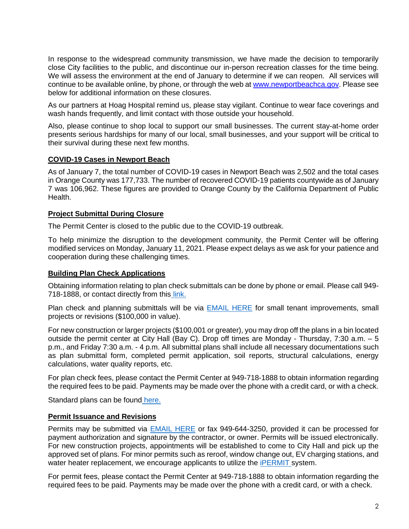In response to the widespread community transmission, we have made the decision to temporarily close City facilities to the public, and discontinue our in-person recreation classes for the time being. We will assess the environment at the end of January to determine if we can reopen. All services will continue to be available online, by phone, or through the web at [www.newportbeachca.gov.](http://www.newportbeachca.gov/) Please see below for additional information on these closures.

As our partners at Hoag Hospital remind us, please stay vigilant. Continue to wear face coverings and wash hands frequently, and limit contact with those outside your household.

Also, please continue to shop local to support our small businesses. The current stay-at-home order presents serious hardships for many of our local, small businesses, and your support will be critical to their survival during these next few months.

### **COVID-19 Cases in Newport Beach**

As of January 7, the total number of COVID-19 cases in Newport Beach was 2,502 and the total cases in Orange County was 177,733. The number of recovered COVID-19 patients countywide as of January 7 was 106,962. These figures are provided to Orange County by the California Department of Public Health.

#### **Project Submittal During Closure**

The Permit Center is closed to the public due to the COVID-19 outbreak.

To help minimize the disruption to the development community, the Permit Center will be offering modified services on Monday, January 11, 2021. Please expect delays as we ask for your patience and cooperation during these challenging times.

### **Building Plan Check Applications**

Obtaining information relating to plan check submittals can be done by phone or email. Please call 949- 718-1888, or contact directly from this [link.](https://www.newportbeachca.gov/government/departments/community-development/operational-hours-staff#B1)

Plan check and planning submittals will be via **EMAIL HERE** for small tenant improvements, small projects or revisions (\$100,000 in value).

For new construction or larger projects (\$100,001 or greater), you may drop off the plans in a bin located outside the permit center at City Hall (Bay C). Drop off times are Monday - Thursday, 7:30 a.m. – 5 p.m., and Friday 7:30 a.m. - 4 p.m. All submittal plans shall include all necessary documentations such as plan submittal form, completed permit application, soil reports, structural calculations, energy calculations, water quality reports, etc.

For plan check fees, please contact the Permit Center at 949-718-1888 to obtain information regarding the required fees to be paid. Payments may be made over the phone with a credit card, or with a check.

Standard plans can be found [here.](https://www.newportbeachca.gov/government/departments/community-development/building-division/forms-handouts/standard-plans)

#### **Permit Issuance and Revisions**

Permits may be submitted via [EMAIL HERE](mailto:smccourt@newportbeachca.gov) or fax 949-644-3250, provided it can be processed for payment authorization and signature by the contractor, or owner. Permits will be issued electronically. For new construction projects, appointments will be established to come to City Hall and pick up the approved set of plans. For minor permits such as reroof, window change out, EV charging stations, and water heater replacement, we encourage applicants to utilize the **iPERMIT** system.

For permit fees, please contact the Permit Center at 949-718-1888 to obtain information regarding the required fees to be paid. Payments may be made over the phone with a credit card, or with a check.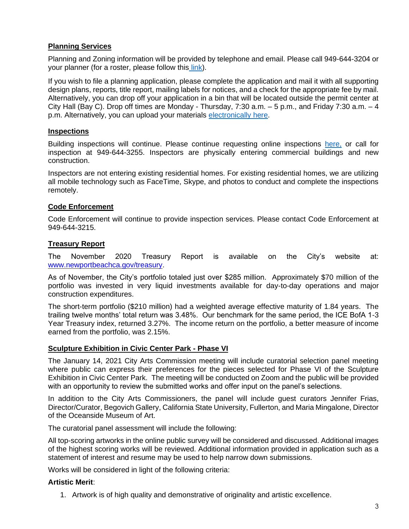## **Planning Services**

Planning and Zoning information will be provided by telephone and email. Please call 949-644-3204 or your planner (for a roster, please follow this [link\)](https://www.newportbeachca.gov/government/departments/community-development/planning-division/operational-hours-staff#B4).

If you wish to file a planning application, please complete the application and mail it with all supporting design plans, reports, title report, mailing labels for notices, and a check for the appropriate fee by mail. Alternatively, you can drop off your application in a bin that will be located outside the permit center at City Hall (Bay C). Drop off times are Monday - Thursday, 7:30 a.m. – 5 p.m., and Friday 7:30 a.m. – 4 p.m. Alternatively, you can upload your materials [electronically here.](https://apps.newportbeachca.gov/upload/)

### **Inspections**

Building inspections will continue. Please continue requesting online inspections [here,](https://www.newportbeachca.gov/government/departments/community-development/building-division/building-permit-inspection-request-status) or call for inspection at 949-644-3255. Inspectors are physically entering commercial buildings and new construction.

Inspectors are not entering existing residential homes. For existing residential homes, we are utilizing all mobile technology such as FaceTime, Skype, and photos to conduct and complete the inspections remotely.

### **Code Enforcement**

Code Enforcement will continue to provide inspection services. Please contact Code Enforcement at 949-644-3215.

### **Treasury Report**

The November 2020 Treasury Report is available on the City's website at: [www.newportbeachca.gov/treasury.](http://www.newportbeachca.gov/treasury)

As of November, the City's portfolio totaled just over \$285 million. Approximately \$70 million of the portfolio was invested in very liquid investments available for day-to-day operations and major construction expenditures.

The short-term portfolio (\$210 million) had a weighted average effective maturity of 1.84 years. The trailing twelve months' total return was 3.48%. Our benchmark for the same period, the ICE BofA 1-3 Year Treasury index, returned 3.27%. The income return on the portfolio, a better measure of income earned from the portfolio, was 2.15%.

#### **Sculpture Exhibition in Civic Center Park - Phase VI**

The January 14, 2021 City Arts Commission meeting will include curatorial selection panel meeting where public can express their preferences for the pieces selected for Phase VI of the Sculpture Exhibition in Civic Center Park. The meeting will be conducted on Zoom and the public will be provided with an opportunity to review the submitted works and offer input on the panel's selections.

In addition to the City Arts Commissioners, the panel will include guest curators Jennifer Frias, Director/Curator, Begovich Gallery, California State University, Fullerton, and Maria Mingalone, Director of the Oceanside Museum of Art.

The curatorial panel assessment will include the following:

All top-scoring artworks in the online public survey will be considered and discussed. Additional images of the highest scoring works will be reviewed. Additional information provided in application such as a statement of interest and resume may be used to help narrow down submissions.

Works will be considered in light of the following criteria:

#### **Artistic Merit**:

1. Artwork is of high quality and demonstrative of originality and artistic excellence.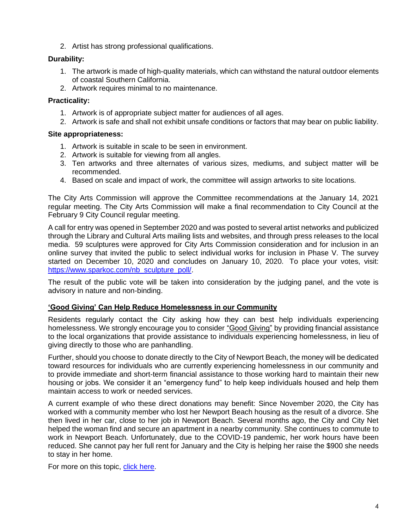2. Artist has strong professional qualifications.

## **Durability:**

- 1. The artwork is made of high-quality materials, which can withstand the natural outdoor elements of coastal Southern California.
- 2. Artwork requires minimal to no maintenance.

## **Practicality:**

- 1. Artwork is of appropriate subject matter for audiences of all ages.
- 2. Artwork is safe and shall not exhibit unsafe conditions or factors that may bear on public liability.

### **Site appropriateness:**

- 1. Artwork is suitable in scale to be seen in environment.
- 2. Artwork is suitable for viewing from all angles.
- 3. Ten artworks and three alternates of various sizes, mediums, and subject matter will be recommended.
- 4. Based on scale and impact of work, the committee will assign artworks to site locations.

The City Arts Commission will approve the Committee recommendations at the January 14, 2021 regular meeting. The City Arts Commission will make a final recommendation to City Council at the February 9 City Council regular meeting.

A call for entry was opened in September 2020 and was posted to several artist networks and publicized through the Library and Cultural Arts mailing lists and websites, and through press releases to the local media. 59 sculptures were approved for City Arts Commission consideration and for inclusion in an online survey that invited the public to select individual works for inclusion in Phase V. The survey started on December 10, 2020 and concludes on January 10, 2020. To place your votes, visit: [https://www.sparkoc.com/nb\\_sculpture\\_poll/.](https://www.sparkoc.com/nb_sculpture_poll/)

The result of the public vote will be taken into consideration by the judging panel, and the vote is advisory in nature and non-binding.

### **'Good Giving' Can Help Reduce Homelessness in our Community**

Residents regularly contact the City asking how they can best help individuals experiencing homelessness. We strongly encourage you to consider ["Good Giving"](https://www.newportbeachca.gov/trending/community-issues/homelessness/how-you-can-help) by providing financial assistance to the local organizations that provide assistance to individuals experiencing homelessness, in lieu of giving directly to those who are panhandling.

Further, should you choose to [donate directly](https://apps.newportbeachca.gov/payforms/homeless-assistance.aspx) to the City of Newport Beach, the money will be dedicated toward resources for individuals who are currently experiencing homelessness in our community and to provide immediate and short-term financial assistance to those working hard to maintain their new housing or jobs. We consider it an "emergency fund" to help keep individuals housed and help them maintain access to work or needed services.

A current example of who these direct donations may benefit: Since November 2020, the City has worked with a community member who lost her Newport Beach housing as the result of a divorce. She then lived in her car, close to her job in Newport Beach. Several months ago, the City and City Net helped the woman find and secure an apartment in a nearby community. She continues to commute to work in Newport Beach. Unfortunately, due to the COVID-19 pandemic, her work hours have been reduced. She cannot pay her full rent for January and the City is helping her raise the \$900 she needs to stay in her home.

For more on this topic, [click here.](https://www.newportbeachca.gov/Home/Components/News/News/38909/2720)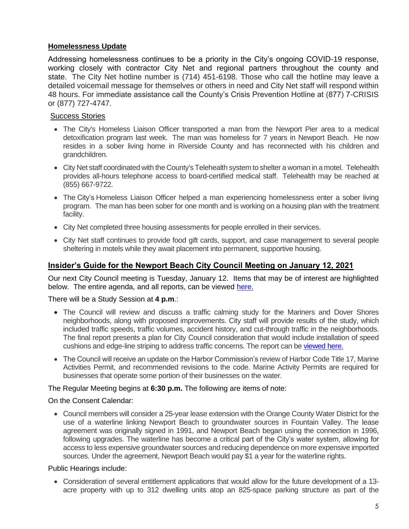## **Homelessness Update**

Addressing homelessness continues to be a priority in the City's ongoing COVID-19 response, working closely with contractor City Net and regional partners throughout the county and state. The City Net hotline number is (714) 451-6198. Those who call the hotline may leave a detailed voicemail message for themselves or others in need and City Net staff will respond within 48 hours. For immediate assistance call the County's Crisis Prevention Hotline at (877) 7-CRISIS or (877) 727-4747.

## Success Stories

- The City's Homeless Liaison Officer transported a man from the Newport Pier area to a medical detoxification program last week. The man was homeless for 7 years in Newport Beach. He now resides in a sober living home in Riverside County and has reconnected with his children and grandchildren.
- City Net staff coordinated with the County's Telehealth system to shelter a woman in a motel. Telehealth provides all-hours telephone access to board-certified medical staff. Telehealth may be reached at (855) 667-9722.
- The City's Homeless Liaison Officer helped a man experiencing homelessness enter a sober living program. The man has been sober for one month and is working on a housing plan with the treatment facility.
- City Net completed three housing assessments for people enrolled in their services.
- City Net staff continues to provide food gift cards, support, and case management to several people sheltering in motels while they await placement into permanent, supportive housing.

## <span id="page-4-0"></span>**Insider's Guide for the Newport Beach City Council Meeting on January 12, 2021**

Our next City Council meeting is Tuesday, January 12. Items that may be of interest are highlighted below. The entire agenda, and all reports, can be viewed [here.](https://www.newportbeachca.gov/Home/Components/Calendar/Event/64234/72)

There will be a Study Session at **4 p.m**.:

- The Council will review and discuss a traffic calming study for the Mariners and Dover Shores neighborhoods, along with proposed improvements. City staff will provide results of the study, which included traffic speeds, traffic volumes, accident history, and cut-through traffic in the neighborhoods. The final report presents a plan for City Council consideration that would include installation of speed cushions and edge-line striping to address traffic concerns. The report can b[e viewed](https://newportbeachca.gov/home/showpublisheddocument?id=67231) here.
- The Council will receive an update on the Harbor Commission's review of Harbor Code Title 17, Marine Activities Permit, and recommended revisions to the code. Marine Activity Permits are required for businesses that operate some portion of their businesses on the water.

### The Regular Meeting begins at **6:30 p.m.** The following are items of note:

### On the Consent Calendar:

• Council members will consider a 25-year lease extension with the Orange County Water District for the use of a waterline linking Newport Beach to groundwater sources in Fountain Valley. The lease agreement was originally signed in 1991, and Newport Beach began using the connection in 1996, following upgrades. The waterline has become a critical part of the City's water system, allowing for access to less expensive groundwater sources and reducing dependence on more expensive imported sources. Under the agreement, Newport Beach would pay \$1 a year for the waterline rights.

### Public Hearings include:

• Consideration of several entitlement applications that would allow for the future development of a 13 acre property with up to 312 dwelling units atop an 825-space parking structure as part of the